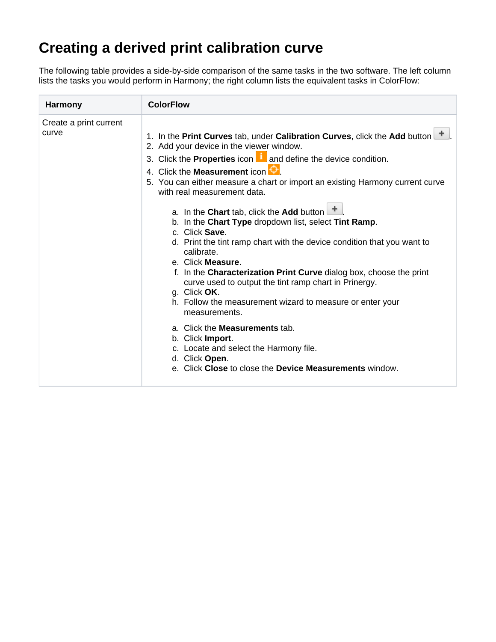## **Creating a derived print calibration curve**

The following table provides a side-by-side comparison of the same tasks in the two software. The left column lists the tasks you would perform in Harmony; the right column lists the equivalent tasks in ColorFlow:

| <b>Harmony</b>                  | <b>ColorFlow</b>                                                                                                                                                                                                                                                                                                                                                                                                                                                                                                                                                                                                                                                                                                                                                                                                                                                                                                                                                                                                              |  |  |  |  |
|---------------------------------|-------------------------------------------------------------------------------------------------------------------------------------------------------------------------------------------------------------------------------------------------------------------------------------------------------------------------------------------------------------------------------------------------------------------------------------------------------------------------------------------------------------------------------------------------------------------------------------------------------------------------------------------------------------------------------------------------------------------------------------------------------------------------------------------------------------------------------------------------------------------------------------------------------------------------------------------------------------------------------------------------------------------------------|--|--|--|--|
| Create a print current<br>curve | 1. In the Print Curves tab, under Calibration Curves, click the Add button<br>2. Add your device in the viewer window.<br>3. Click the <b>Properties</b> icon $\blacksquare$ and define the device condition.<br>4. Click the Measurement icon<br>5. You can either measure a chart or import an existing Harmony current curve<br>with real measurement data.<br>a. In the Chart tab, click the Add button $\Box$<br>b. In the Chart Type dropdown list, select Tint Ramp.<br>c. Click Save.<br>d. Print the tint ramp chart with the device condition that you want to<br>calibrate.<br>e. Click Measure.<br>f. In the Characterization Print Curve dialog box, choose the print<br>curve used to output the tint ramp chart in Prinergy.<br>g. Click OK.<br>h. Follow the measurement wizard to measure or enter your<br>measurements.<br>a. Click the <b>Measurements</b> tab.<br>b. Click Import.<br>c. Locate and select the Harmony file.<br>d. Click Open.<br>e. Click Close to close the Device Measurements window. |  |  |  |  |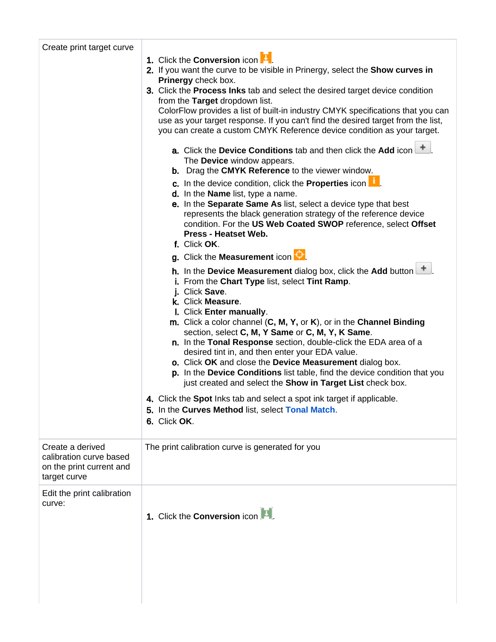| Create print target curve                                                               |                                                                                                                                                                                                                                                                                                                                                                                          |  |  |  |  |
|-----------------------------------------------------------------------------------------|------------------------------------------------------------------------------------------------------------------------------------------------------------------------------------------------------------------------------------------------------------------------------------------------------------------------------------------------------------------------------------------|--|--|--|--|
|                                                                                         | 1. Click the Conversion icon <b>L</b> .                                                                                                                                                                                                                                                                                                                                                  |  |  |  |  |
|                                                                                         | 2. If you want the curve to be visible in Prinergy, select the Show curves in<br>Prinergy check box.                                                                                                                                                                                                                                                                                     |  |  |  |  |
|                                                                                         | 3. Click the <b>Process lnks</b> tab and select the desired target device condition<br>from the Target dropdown list.<br>ColorFlow provides a list of built-in industry CMYK specifications that you can                                                                                                                                                                                 |  |  |  |  |
|                                                                                         |                                                                                                                                                                                                                                                                                                                                                                                          |  |  |  |  |
|                                                                                         | use as your target response. If you can't find the desired target from the list,<br>you can create a custom CMYK Reference device condition as your target.                                                                                                                                                                                                                              |  |  |  |  |
|                                                                                         | a. Click the Device Conditions tab and then click the Add icon<br>The <b>Device</b> window appears.                                                                                                                                                                                                                                                                                      |  |  |  |  |
|                                                                                         | <b>b.</b> Drag the <b>CMYK Reference</b> to the viewer window.<br>c. In the device condition, click the Properties icon                                                                                                                                                                                                                                                                  |  |  |  |  |
|                                                                                         | d. In the Name list, type a name.                                                                                                                                                                                                                                                                                                                                                        |  |  |  |  |
|                                                                                         | e. In the Separate Same As list, select a device type that best<br>represents the black generation strategy of the reference device<br>condition. For the US Web Coated SWOP reference, select Offset<br>Press - Heatset Web.                                                                                                                                                            |  |  |  |  |
|                                                                                         | f. Click OK.                                                                                                                                                                                                                                                                                                                                                                             |  |  |  |  |
|                                                                                         | g. Click the Measurement icon $\Theta$                                                                                                                                                                                                                                                                                                                                                   |  |  |  |  |
|                                                                                         | <b>h.</b> In the Device Measurement dialog box, click the Add button $\mathbf{I}$<br>i. From the Chart Type list, select Tint Ramp.                                                                                                                                                                                                                                                      |  |  |  |  |
|                                                                                         | Click Save.                                                                                                                                                                                                                                                                                                                                                                              |  |  |  |  |
|                                                                                         | k. Click Measure.<br>I. Click Enter manually.                                                                                                                                                                                                                                                                                                                                            |  |  |  |  |
|                                                                                         | m. Click a color channel (C, M, Y, or K), or in the Channel Binding<br>section, select C, M, Y Same or C, M, Y, K Same.<br>n. In the Tonal Response section, double-click the EDA area of a<br>desired tint in, and then enter your EDA value.<br>o. Click OK and close the Device Measurement dialog box.<br>p. In the Device Conditions list table, find the device condition that you |  |  |  |  |
|                                                                                         | just created and select the Show in Target List check box.                                                                                                                                                                                                                                                                                                                               |  |  |  |  |
|                                                                                         | 4. Click the Spot Inks tab and select a spot ink target if applicable.<br>5. In the Curves Method list, select Tonal Match.<br>6. Click OK.                                                                                                                                                                                                                                              |  |  |  |  |
| Create a derived<br>calibration curve based<br>on the print current and<br>target curve | The print calibration curve is generated for you                                                                                                                                                                                                                                                                                                                                         |  |  |  |  |
| Edit the print calibration                                                              |                                                                                                                                                                                                                                                                                                                                                                                          |  |  |  |  |
| curve:                                                                                  | 1. Click the <b>Conversion</b> icon                                                                                                                                                                                                                                                                                                                                                      |  |  |  |  |
|                                                                                         |                                                                                                                                                                                                                                                                                                                                                                                          |  |  |  |  |
|                                                                                         |                                                                                                                                                                                                                                                                                                                                                                                          |  |  |  |  |
|                                                                                         |                                                                                                                                                                                                                                                                                                                                                                                          |  |  |  |  |
|                                                                                         |                                                                                                                                                                                                                                                                                                                                                                                          |  |  |  |  |
|                                                                                         |                                                                                                                                                                                                                                                                                                                                                                                          |  |  |  |  |
|                                                                                         |                                                                                                                                                                                                                                                                                                                                                                                          |  |  |  |  |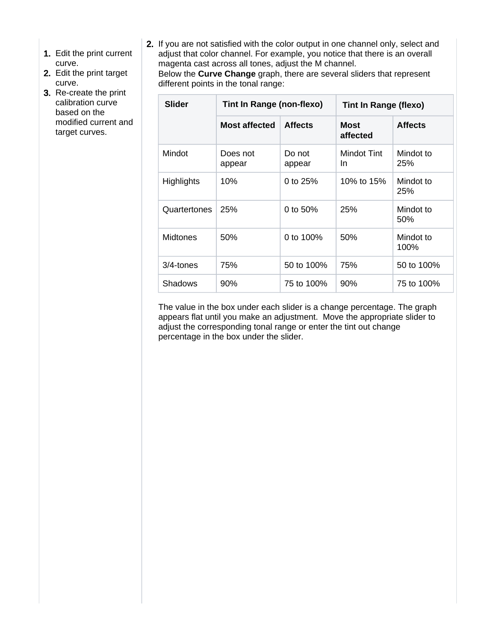- 1. Edit the print current curve.
- 2. Edit the print target curve.
- 3. Re-create the print calibration curve based on the modified current and target curves.
- 2. If you are not satisfied with the color output in one channel only, select and adjust that color channel. For example, you notice that there is an overall magenta cast across all tones, adjust the M channel.

Below the **Curve Change** graph, there are several sliders that represent different points in the tonal range:

| <b>Slider</b>     | Tint In Range (non-flexo) |                  | <b>Tint In Range (flexo)</b> |                   |
|-------------------|---------------------------|------------------|------------------------------|-------------------|
|                   | <b>Most affected</b>      | <b>Affects</b>   | <b>Most</b><br>affected      | <b>Affects</b>    |
| Mindot            | Does not<br>appear        | Do not<br>appear | Mindot Tint<br>In.           | Mindot to<br>25%  |
| <b>Highlights</b> | 10%                       | 0 to $25%$       | 10% to 15%                   | Mindot to<br>25%  |
| Quartertones      | 25%                       | 0 to 50%         | 25%                          | Mindot to<br>50%  |
| <b>Midtones</b>   | 50%                       | 0 to 100%        | 50%                          | Mindot to<br>100% |
| $3/4$ -tones      | 75%                       | 50 to 100%       | 75%                          | 50 to 100%        |
| <b>Shadows</b>    | 90%                       | 75 to 100%       | 90%                          | 75 to 100%        |

The value in the box under each slider is a change percentage. The graph appears flat until you make an adjustment. Move the appropriate slider to adjust the corresponding tonal range or enter the tint out change percentage in the box under the slider.